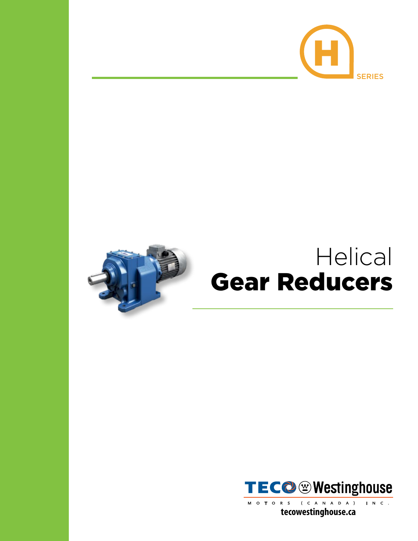





(CANADA) INC. MOTORS tecowestinghouse.ca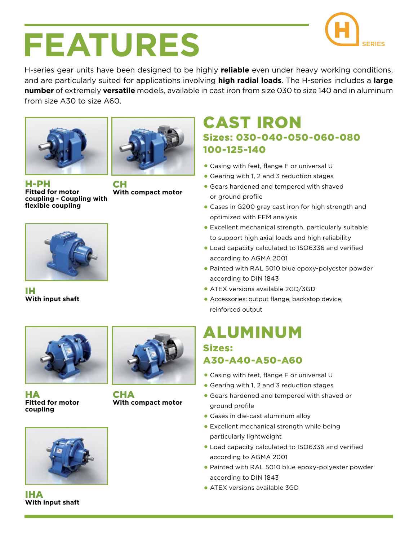

## FEATURES SERIES

H-series gear units have been designed to be highly **reliable** even under heavy working conditions, and are particularly suited for applications involving **high radial loads**. The H-series includes a **large number** of extremely **versatile** models, available in cast iron from size 030 to size 140 and in aluminum from size A30 to size A60.





H-PH **Fitted for motor coupling - Coupling with flexible coupling**

CH **With compact motor**



IH **With input shaft**



HA **Fitted for motor coupling**



**With compact motor**



- Casing with feet, flange F or universal U
- Gearing with 1, 2 and 3 reduction stages
- Gears hardened and tempered with shaved or ground profile
- Cases in G200 gray cast iron for high strength and optimized with FEM analysis
- Excellent mechanical strength, particularly suitable to support high axial loads and high reliability
- Load capacity calculated to ISO6336 and verified according to AGMA 2001
- Painted with RAL 5010 blue epoxy-polyester powder according to DIN 1843
- ATEX versions available 2GD/3GD
- Accessories: output flange, backstop device, reinforced output

#### Sizes: A30-A40-A50-A60 ALUMINUM

- Casing with feet, flange F or universal U
- Gearing with 1, 2 and 3 reduction stages
- Gears hardened and tempered with shaved or ground profile
- Cases in die-cast aluminum alloy
- Excellent mechanical strength while being particularly lightweight
- Load capacity calculated to ISO6336 and verified according to AGMA 2001
- Painted with RAL 5010 blue epoxy-polyester powder according to DIN 1843
- ATEX versions available 3GD

IHA **With input shaft**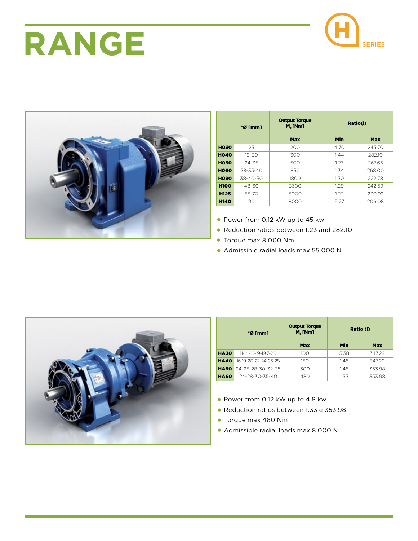# **RANGE** CONSERVER





|             | $*$ Ø [mm]     | <b>Output Torque</b><br>$M,$ [Nm] | Ratio(i) |        |
|-------------|----------------|-----------------------------------|----------|--------|
|             |                | Max                               | Min      | Max    |
| <b>HO30</b> | 25             | 200                               | 4.70     | 245.70 |
| <b>HO40</b> | $19 - 30$      | 300                               | 1.44     | 282.10 |
| <b>HO50</b> | $24 - 35$      | 500                               | 1.27     | 267.65 |
| <b>HO60</b> | $28 - 35 - 40$ | 850                               | 1.34     | 268.00 |
| <b>HO80</b> | $38 - 40 - 50$ | 1800                              | 1.30     | 222.78 |
| <b>H100</b> | 48-60          | 3600                              | 1.29     | 242.59 |
| <b>H125</b> | 55-70          | 5000                              | 1.23     | 230.92 |
| <b>H140</b> | 90             | 8000                              | 5.27     | 206.08 |

- Power from 0.12 kW up to 45 kw
- Reduction ratios between 1.23 and 282.10
- Torque max 8.000 Nm
- Admissible radial loads max 55.000 N



|             | $*$ Ø [mm]           | <b>Output Torque</b><br>$M_{\gamma}$ [Nm] | Ratio (i) |        |
|-------------|----------------------|-------------------------------------------|-----------|--------|
|             |                      | Max                                       | Min       | Max    |
| <b>HA30</b> | 11-14-16-19-19.7-20  | 100                                       | 5.38      | 347.29 |
| <b>HA40</b> | 16-19-20-22-24-25-28 | 150                                       | 1.45      | 347.29 |
| <b>HA50</b> | 24-25-28-30-32-35    | 300                                       | 1.45      | 353.98 |
| <b>HA60</b> | 24-28-30-35-40       | 480                                       | 1.33      | 353.98 |

- Power from 0.12 kW up to 4.8 kw
- Reduction ratios between 1.33 e 353.98
- Torque max 480 Nm
- Admissible radial loads max 8.000 N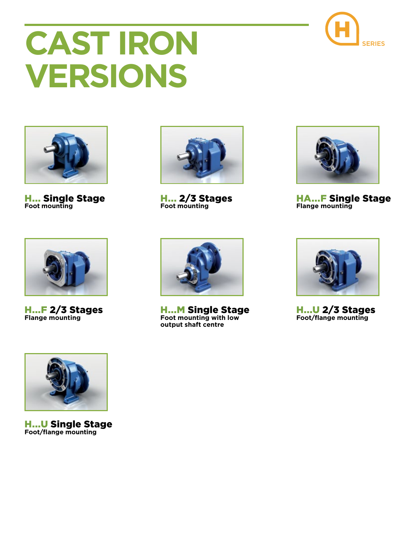# **CAST IRON VERSIONS**



H... Single Stage **Foot mounting**



H... 2/3 Stages **Foot mounting**



HA...F Single Stage **Flange mounting**



H...F 2/3 Stages **Flange mounting**



H...M Single Stage **Foot mounting with low output shaft centre**



**H...U 2/3 Stages Foot/flange mounting**



H...U Single Stage **Foot/flange mounting**

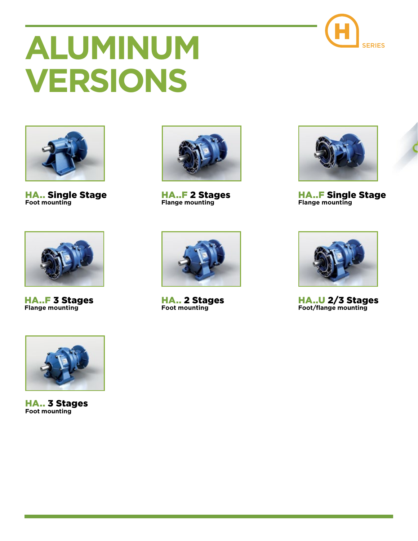

# **A** SERIES **LUMINUM VERSIONS**



HA.. Single Stage **Foot mounting**



HA..F 2 Stages **Flange mounting**



HA..F Single Stage **Flange mounting**



HA..F 3 Stages **Flange mounting**



HA.. 2 Stages **Foot mounting**



HA..U 2/3 Stages **Foot/flange mounting**



HA.. 3 Stages **Foot mounting**